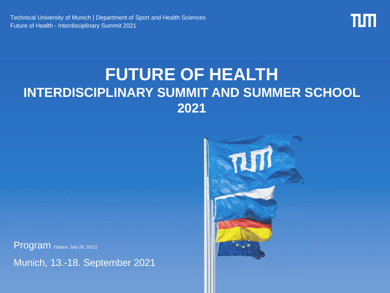Technical University of Munich | Department of Sport and Health Sciences Future of Health - Interdisciplinary Summit 2021



### **FUTURE OF HEALTH INTERDISCIPLINARY SUMMIT AND SUMMER SCHOOL 2021**



Program (Status: July 29, 2021)

Munich, 13.-18. September 2021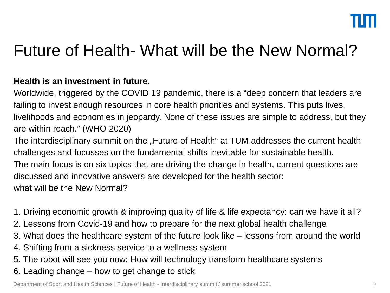### Future of Health- What will be the New Normal?

### **Health is an investment in future**.

Worldwide, triggered by the COVID 19 pandemic, there is a "deep concern that leaders are failing to invest enough resources in core health priorities and systems. This puts lives, livelihoods and economies in jeopardy. None of these issues are simple to address, but they are within reach." (WHO 2020)

The interdisciplinary summit on the "Future of Health" at TUM addresses the current health challenges and focusses on the fundamental shifts inevitable for sustainable health.

The main focus is on six topics that are driving the change in health, current questions are discussed and innovative answers are developed for the health sector:

what will be the New Normal?

1. Driving economic growth & improving quality of life & life expectancy: can we have it all?

- 2. Lessons from Covid-19 and how to prepare for the next global health challenge
- 3. What does the healthcare system of the future look like lessons from around the world
- 4. Shifting from a sickness service to a wellness system
- 5. The robot will see you now: How will technology transform healthcare systems
- 6. Leading change how to get change to stick

Department of Sport and Health Sciences | Future of Health - Interdisciplinary summit / summer school 2021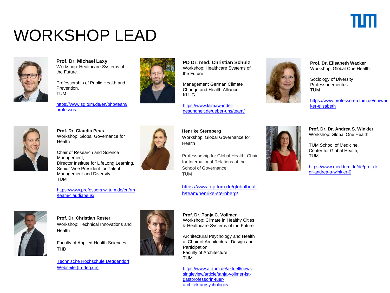## WORKSHOP LEAD



**Prof. Dr. Michael Laxy** Workshop: Healthcare Systems of the Future

Professorship of Public Health and Prevention, TUM

[https://www.sg.tum.de/en/php/team/](https://www.sg.tum.de/en/php/team/professor/) professor/



**PD Dr. med. Christian Schulz** Workshop: Healthcare Systems of the Future

Management German Climate Change and Health Alliance, KLUG

https://www.klimawandel[gesundheit.de/ueber-uns/team/](https://www.klimawandel-gesundheit.de/ueber-uns/team/)



**Prof. Dr. Elisabeth Wacker** Workshop: Global One Health

Sociology of Diversity Professor emeritus TUM

[https://www.professoren.tum.de/en/wac](https://www.professoren.tum.de/en/wacker-elisabeth) ker-elisabeth



**Prof. Dr. Claudia Peus** Workshop: Global Governance for **Health** 

Chair of Research and Science Management, Director Institute for LifeLong Learning, Senior Vice President for Talent Management and Diversity, TUM

[https://www.professors.wi.tum.de/en/rm](https://www.professors.wi.tum.de/en/rm/team/claudiapeus/) /team/claudiapeus/



**Henrike Sternberg** Workshop: Global Governance for Health

Professorship for Global Health, Chair for International Relations at the School of Governance, TUM

[https://www.hfp.tum.de/globalhealt](https://www.hfp.tum.de/globalhealth/team/henrike-sternberg/) h/team/henrike-sternberg/

**Prof. Dr. Christian Rester** Workshop: Technical Innovations and Health

Faculty of Applied Health Sciences, THD

[Technische Hochschule Deggendorf](https://th-deg.de/de/Christian-Rester-Fakult%C3%A4t%20Angewandte%20Gesundheitswissenschaften-Professor:innen-2866)  Webseite (th-deg.de)



**Prof. Dr. Tanja C. Vollmer** Workshop: Climate in Healthy Cities & Healthcare Systems of the Future

Architectural Psychology and Health at Chair of Architectural Design and **Participation** Faculty of Architecture, TUM

[https://www.ar.tum.de/aktuell/news](https://www.ar.tum.de/aktuell/news-singleview/article/tanja-vollmer-ist-gastprofessorin-fuer-architekturpsychologie/)singleview/article/tanja-vollmer-istgastprofessorin-fuerarchitekturpsychologie/



**Prof. Dr. Dr. Andrea S. Winkler** Workshop: Global One Health

TUM School of Medicine, Center for Global Health, TUM

[https://www.med.tum.de/de/prof-dr](https://www.med.tum.de/de/prof-dr-dr-andrea-s-winkler-0)dr-andrea-s-winkler-0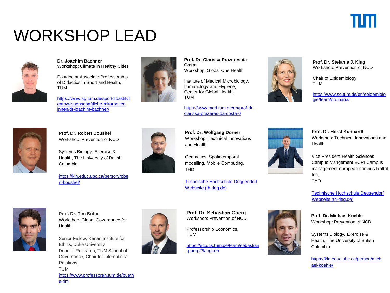## Ш

## WORKSHOP LEAD



#### **Dr. Joachim Bachner** Workshop: Climate in Healthy Cities

Postdoc at Associate Professorship of Didactics in Sport and Health, TUM

[https://www.sg.tum.de/sportdidaktik/t](https://www.sg.tum.de/sportdidaktik/team/wissenschaftliche-mitarbeiter-innen/dr-joachim-bachner/) eam/wissenschaftliche-mitarbeiterinnen/dr-joachim-bachner/



**Prof. Dr. Clarissa Prazeres da Costa** Workshop: Global One Health

Institute of Medical Microbiology, Immunology and Hygiene, Center for Global Health, TUM

[https://www.med.tum.de/en/prof-dr](https://www.med.tum.de/en/prof-dr-clarissa-prazeres-da-costa-0)clarissa-prazeres-da-costa-0

**Prof. Dr. Stefanie J. Klug** Workshop: Prevention of NCD

Chair of Epidemiology, TUM

[https://www.sg.tum.de/en/epidemiolo](https://www.sg.tum.de/en/epidemiologie/team/ordinaria/) gie/team/ordinaria/



**Prof. Dr. Robert Boushel** Workshop: Prevention of NCD

Systems Biology, Exercise & Health, The University of British Columbia

[https://kin.educ.ubc.ca/person/robe](https://kin.educ.ubc.ca/person/robert-boushel/) rt-boushel/



**Prof. Dr. Wolfgang Dorner** Workshop: Technical Innovations and Health

Geomatics, Spatiotemporal modelling, Mobile Computing, THD

[Technische Hochschule Deggendorf](https://www.th-deg.de/en/Wolfgang-Dorner-Zentrum%20f%C3%BCr%20angewandte%20Forschung-Institut%20f%C3%BCr%20angewandte%20Informatik%20-%20Technologie%20Campus%20Freyung-1829) Webseite (th-deg.de)

**Prof. Dr. Tim Büthe** Workshop: Global Governance for **Health** 

Senior Fellow, Kenan Institute for Ethics, Duke University Dean of Research, TUM School of Governance, Chair for International Relations, TUM [https://www.professoren.tum.de/bueth](https://www.professoren.tum.de/buethe-tim) e-tim



**Prof. Dr. Sebastian Goerg** Workshop: Prevention of NCD

Professorship Economics, TUM

[https://eco.cs.tum.de/team/sebastian](https://eco.cs.tum.de/team/sebastian-goerg/?lang=en) -goerg/?lang=en



**Prof. Dr. Horst Kunhardt** Workshop: Technical Innovations and Health

Vice President Health Sciences Campus Mangement ECRI Campus management european campus Rottal Inn, THD

[Technische Hochschule Deggendorf](https://www.th-deg.de/de/Horst-Kunhardt-Hochschulleitung-2325)  Webseite (th-deg.de)

**Prof. Dr. Michael Koehle** Workshop: Prevention of NCD

Systems Biology, Exercise & Health, The University of British Columbia

[https://kin.educ.ubc.ca/person/mich](https://kin.educ.ubc.ca/person/michael-koehle/) ael-koehle/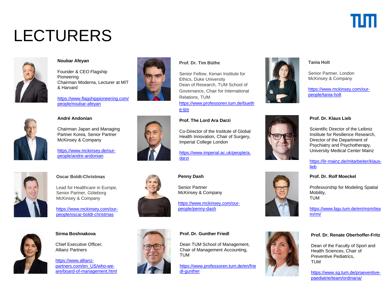# шп

## LECTURERS



#### **Noubar Afeyan**

Founder & CEO Flagship Pioneering Chairman Moderna, Lecturer at MIT & Harvard

[https://www.flagshippioneering.com/](https://www.flagshippioneering.com/people/noubar-afeyan) people/noubar-afeyan



#### **André Andonian**

Chairman Japan and Managing Partner Korea, Senior Partner McKinsey & Company

[https://www.mckinsey.de/our](https://www.mckinsey.de/our-people/andre-andonian)people/andre-andonian



#### **Oscar Boldt-Christmas**

Lead for Healthcare in Europe, Senior Partner, Göteborg McKinsey & Company

[https://www.mckinsey.com/our](https://www.mckinsey.com/our-people/oscar-boldt-christmas)people/oscar-boldt-christmas



#### **Sirma Boshnakova**

Chief Executive Officer, Allianz Partners

https://www.allianzpartners.com/en\_US/who-we[are/board-of-management.html](https://www.allianz-partners.com/en_US/who-we-are/board-of-management.html)







### **Penny Dash**

darzi

e-tim

Senior Partner McKinsey & Company

**Prof. The Lord Ara Darzi**

**Prof. Dr. Tim Büthe**

Ethics, Duke University

Relations, TUM

Imperial College London

Co-Director of the Institute of Global Health Innovation, Chair of Surgery,

Senior Fellow, Kenan Institute for

Dean of Research, TUM School of Governance, Chair for International

[https://www.professoren.tum.de/bueth](https://www.professoren.tum.de/buethe-tim)

[https://www.imperial.ac.uk/people/a.](https://www.imperial.ac.uk/people/a.darzi)

[https://www.mckinsey.com/our](https://www.mckinsey.com/our-people/penny-dash)people/penny-dash

#### **Prof. Dr. Gunther Friedl**

Dean TUM School of Management, Chair of Management Accounting, TUM

[https://www.professoren.tum.de/en/frie](https://www.professoren.tum.de/en/friedl-gunther) dl-gunther



#### **Tania Holt**

Senior Partner, London McKinsey & Company

[https://www.mckinsey.com/our](https://www.mckinsey.com/our-people/tania-holt)people/tania-holt

#### **Prof. Dr. Klaus Lieb**

Scientific Director of the Leibniz Institute for Resilience Research, Director of the Department of Psychiatry and Psychotherapy, University Medical Center Mainz

[https://lir-mainz.de/mitarbeiter/klaus](https://lir-mainz.de/mitarbeiter/klaus-lieb)lieb

#### **Prof. Dr. Rolf Moeckel**

Professorship for Modeling Spatial Mobility, TUM

[https://www.bgu.tum.de/en/msm/tea](https://www.bgu.tum.de/en/msm/team/rm/) m/rm/

#### **Prof. Dr. Renate Oberhoffer-Fritz**

Dean of the Faculty of Sport and Health Sciences, Chair of Preventive Pediatrics, TUM

[https://www.sg.tum.de/praeventive](https://www.sg.tum.de/praeventive-paediatrie/team/ordinaria/)paediatrie/team/ordinaria/



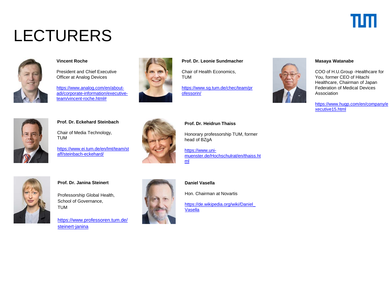## TIM

# LECTURERS



### **Vincent Roche**

President and Chief Executive Officer at Analog Devices

https://www.analog.com/en/about[adi/corporate-information/executive](https://www.analog.com/en/about-adi/corporate-information/executive-team/vincent-roche.html)team/vincent-roche.html#



### **Prof. Dr. Leonie Sundmacher**

Chair of Health Economics, TUM

[https://www.sg.tum.de/chec/team/pr](https://www.sg.tum.de/chec/team/professorin/) ofessorin/



#### **Masaya Watanabe**

COO of H.U.Group -Healthcare for You, former CEO of Hitachi Healthcare, Chairman of Japan Federation of Medical Devices Association

[https://www.hugp.com/en/company/e](https://www.hugp.com/en/company/executive15.html) xecutive15.html



#### **Prof. Dr. Eckehard Steinbach**

Chair of Media Technology, TUM

[https://www.ei.tum.de/en/lmt/team/st](https://www.ei.tum.de/en/lmt/team/staff/steinbach-eckehard/) aff/steinbach-eckehard/



#### **Prof. Dr. Heidrun Thaiss**

Honorary professorship TUM, former head of BZgA

https://www.uni[muenster.de/Hochschulrat/en/thaiss.ht](https://www.uni-muenster.de/Hochschulrat/en/thaiss.html) ml



### **Prof. Dr. Janina Steinert**

Professorship Global Health, School of Governance, TUM

[https://www.professoren.tum.de/](https://www.professoren.tum.de/steinert-janina) steinert-janina



#### **Daniel Vasella**

Hon. Chairman at Novartis

[https://de.wikipedia.org/wiki/Daniel\\_](https://de.wikipedia.org/wiki/Daniel_Vasella) Vasella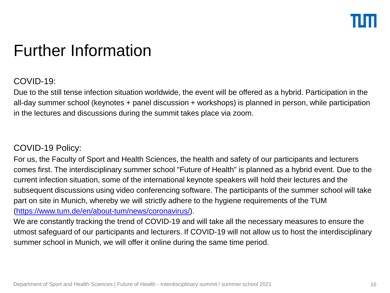### Further Information

### COVID-19:

Due to the still tense infection situation worldwide, the event will be offered as a hybrid. Participation in the all-day summer school (keynotes + panel discussion + workshops) is planned in person, while participation in the lectures and discussions during the summit takes place via zoom.

### COVID-19 Policy:

For us, the Faculty of Sport and Health Sciences, the health and safety of our participants and lecturers comes first. The interdisciplinary summer school "Future of Health" is planned as a hybrid event. Due to the current infection situation, some of the international keynote speakers will hold their lectures and the subsequent discussions using video conferencing software. The participants of the summer school will take part on site in Munich, whereby we will strictly adhere to the hygiene requirements of the TUM ([https://www.tum.de/en/about-tum/news/coronavirus/\)](https://www.tum.de/en/about-tum/news/coronavirus/).

We are constantly tracking the trend of COVID-19 and will take all the necessary measures to ensure the utmost safeguard of our participants and lecturers. If COVID-19 will not allow us to host the interdisciplinary summer school in Munich, we will offer it online during the same time period.